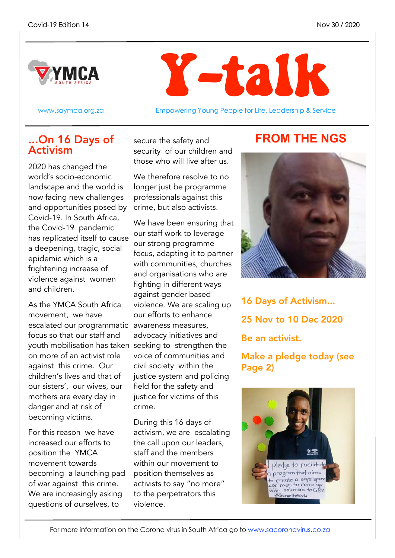



www.saymca.org.za **Empowering Young People for Life, Leadership & Service** 

### ...On 16 Days of **FROM THE NGS** Activism

2020 has changed the world's socio-economic landscape and the world is now facing new challenges and opportunities posed by crime, but also activists. Covid-19. In South Africa, the Covid-19 pandemic has replicated itself to cause a deepening, tragic, social epidemic which is a frightening increase of violence against women and children.

As the YMCA South Africa movement, we have escalated our programmatic awareness measures, focus so that our staff and youth mobilisation has taken seeking to strengthen the on more of an activist role against this crime. Our children's lives and that of our sisters', our wives, our mothers are every day in danger and at risk of becoming victims.

For this reason we have increased our efforts to position the YMCA movement towards becoming a launching pad of war against this crime. We are increasingly asking questions of ourselves, to

secure the safety and security of our children and those who will live after us.

We therefore resolve to no longer just be programme professionals against this

We have been ensuring that our staff work to leverage our strong programme focus, adapting it to partner with communities, churches and organisations who are fighting in different ways against gender based violence. We are scaling up our efforts to enhance advocacy initiatives and voice of communities and civil society within the justice system and policing field for the safety and justice for victims of this crime.

During this 16 days of activism, we are escalating the call upon our leaders, staff and the members within our movement to position themselves as activists to say "no more" to the perpetrators this violence.



16 Days of Activism... 25 Nov to 10 Dec 2020 Be an activist.

Make a pledge today (see Page 2)

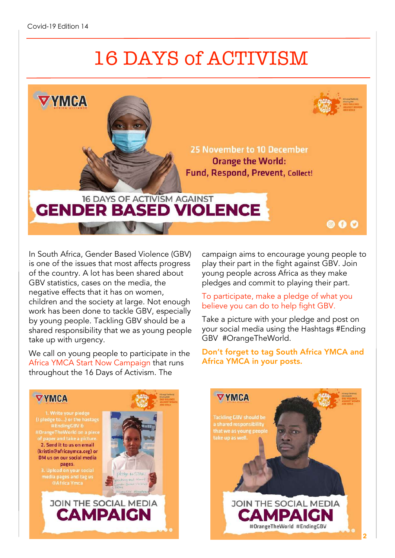# 16 DAYS of ACTIVISM



In South Africa, Gender Based Violence (GBV) is one of the issues that most affects progress of the country. A lot has been shared about GBV statistics, cases on the media, the negative effects that it has on women, children and the society at large. Not enough work has been done to tackle GBV, especially by young people. Tackling GBV should be a shared responsibility that we as young people take up with urgency.

We call on young people to participate in the Africa YMCA Start Now Campaign that runs throughout the 16 Days of Activism. The

campaign aims to encourage young people to play their part in the fight against GBV. Join young people across Africa as they make pledges and commit to playing their part.

#### To participate, make a pledge of what you believe you can do to help fight GBV.

Take a picture with your pledge and post on your social media using the Hashtags #Ending GBV #OrangeTheWorld.

#### Don't forget to tag South Africa YMCA and Africa YMCA in your posts.

**VYMCA** 

1. Write your pledge per and take a nic 2. Send it to us on email (kristin@africaymca.org) or DM us on our social media pages. 3. Upload on your social

media pages and tag us<br>
@Africa Ymca



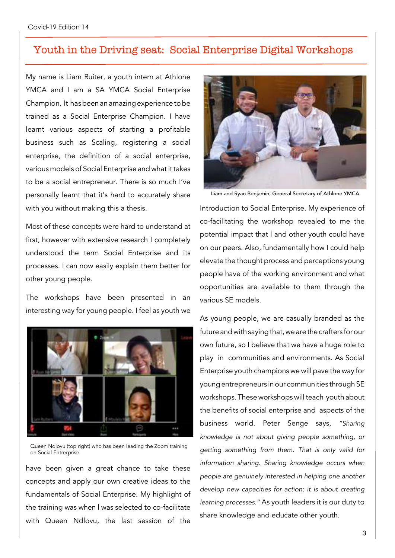#### Youth in the Driving seat: Social Enterprise Digital Workshops

My name is Liam Ruiter, a youth intern at Athlone YMCA and I am a SA YMCA Social Enterprise Champion. It hasbeen an amazingexperience tobe trained as a Social Enterprise Champion. I have learnt various aspects of starting a profitable business such as Scaling, registering a social enterprise, the definition of a social enterprise, various models of Social Enterprise and what it takes to be a social entrepreneur. There is so much I've personally learnt that it's hard to accurately share with you without making this a thesis.

Most of these concepts were hard to understand at first, however with extensive research I completely understood the term Social Enterprise and its processes. I can now easily explain them better for other young people.

The workshops have been presented in an interesting way for young people. I feel as youth we



Queen Ndlovu (top right) who has been leading the Zoom training on Social Entrerprise.

have been given a great chance to take these concepts and apply our own creative ideas to the fundamentals of Social Enterprise. My highlight of the training was when l was selected to co-facilitate with Queen Ndlovu, the last session of the



Liam and Ryan Benjamin, General Secretary of Athlone YMCA.

Introduction to Social Enterprise. My experience of co-facilitating the workshop revealed to me the potential impact that I and other youth could have on our peers. Also, fundamentally how I could help elevate the thought process and perceptions young people have of the working environment and what opportunities are available to them through the various SE models.

As young people, we are casually branded as the future and with saying that, we are the crafters for our own future, so I believe that we have a huge role to play in communities and environments. As Social Enterprise youth champions we will pave the way for young entrepreneurs in our communities through SE workshops. These workshops will teach youth about the benefits of social enterprise and aspects of the business world. Peter Senge says, *"Sharing knowledge is not about giving people something, or getting something from them. That is only valid for information sharing. Sharing knowledge occurs when people are genuinely interested in helping one another develop new capacities for action; it is about creating learning processes."* As youth leaders it is our duty to share knowledge and educate other youth.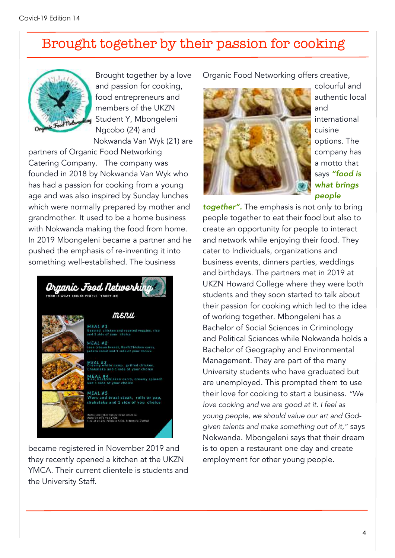### Brought together by their passion for cooking



Brought together by a love and passion for cooking, food entrepreneurs and members of the UKZN Student Y, Mbongeleni Ngcobo (24) and Nokwanda Van Wyk (21) are

partners of Organic Food Networking Catering Company. The company was founded in 2018 by Nokwanda Van Wyk who has had a passion for cooking from a young age and was also inspired by Sunday lunches which were normally prepared by mother and grandmother. It used to be a home business with Nokwanda making the food from home. In 2019 Mbongeleni became a partner and he pushed the emphasis of re-inventing it into something well-established. The business



became registered in November 2019 and they recently opened a kitchen at the UKZN YMCA. Their current clientele is students and the University Staff.

Organic Food Networking offers creative,



colourful and authentic local and international cuisine options. The company has a motto that says *"food is what brings people*

*together".* The emphasis is not only to bring people together to eat their food but also to create an opportunity for people to interact and network while enjoying their food. They cater to Individuals, organizations and business events, dinners parties, weddings and birthdays. The partners met in 2019 at UKZN Howard College where they were both students and they soon started to talk about their passion for cooking which led to the idea of working together. Mbongeleni has a Bachelor of Social Sciences in Criminology and Political Sciences while Nokwanda holds a Bachelor of Geography and Environmental Management. They are part of the many University students who have graduated but are unemployed. This prompted them to use their love for cooking to start a business. *"We love cooking and we are good at it. I feel as young people, we should value our art and Godgiven talents and make something out of it,"* says Nokwanda. Mbongeleni says that their dream is to open a restaurant one day and create employment for other young people.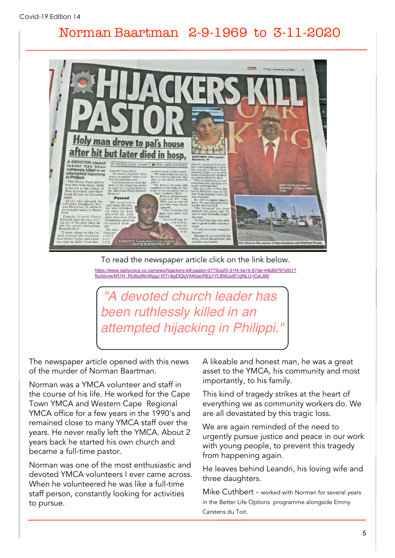### Norman Baartman 2-9-1969 to 3-11-2020



To read the newspaper article click on the link below.

[https://www.dailyvoice.co.za/news/hijackers-kill-pastor-d773ce25-31f4-4a1b-97de-44b89797ef01?](https://www.dailyvoice.co.za/news/hijackers-kill-pastor-d773ce25-31f4-4a1b-97de-44b89797ef01?fbclid=IwAR1H_RU6ojWcWgqJ-f5Tl-8gElQqVAKbecREp1YLBWJutE1gNLU-rCeL66I) [fbclid=IwAR1H\\_RU6ojWcWgqJ-f5Tl-8gElQqVAKbecREp1YLBWJutE1gNLU-rCeL66I](https://www.dailyvoice.co.za/news/hijackers-kill-pastor-d773ce25-31f4-4a1b-97de-44b89797ef01?fbclid=IwAR1H_RU6ojWcWgqJ-f5Tl-8gElQqVAKbecREp1YLBWJutE1gNLU-rCeL66I)

*"A devoted church leader has been ruthlessly killed in an attempted hijacking in Philippi."*

The newspaper article opened with this news of the murder of Norman Baartman.

Norman was a YMCA volunteer and staff in the course of his life. He worked for the Cape Town YMCA and Western Cape Regional YMCA office for a few years in the 1990's and remained close to many YMCA staff over the years. He never really left the YMCA. About 2 years back he started his own church and became a full-time pastor.

Norman was one of the most enthusiastic and devoted YMCA volunteers I ever came across. When he volunteered he was like a full-time staff person, constantly looking for activities to pursue.

A likeable and honest man, he was a great asset to the YMCA, his community and most importantly, to his family.

This kind of tragedy strikes at the heart of everything we as community workers do. We are all devastated by this tragic loss.

We are again reminded of the need to urgently pursue justice and peace in our work with young people, to prevent this tragedy from happening again.

He leaves behind Leandri, his loving wife and three daughters.

Mike Cuthbert - worked with Norman for several years in the Better Life Options programme alongside Emmy Carstens du Toit.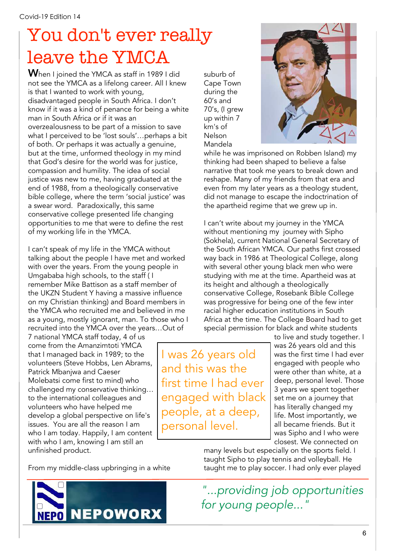# You don't ever really leave the YMCA

When I joined the YMCA as staff in 1989 I did not see the YMCA as a lifelong career. All I knew is that I wanted to work with young, disadvantaged people in South Africa. I don't know if it was a kind of penance for being a white man in South Africa or if it was an overzealousness to be part of a mission to save what I perceived to be 'lost souls'…perhaps a bit of both. Or perhaps it was actually a genuine, but at the time, unformed theology in my mind that God's desire for the world was for justice, compassion and humility. The idea of social justice was new to me, having graduated at the end of 1988, from a theologically conservative bible college, where the term 'social justice' was a swear word. Paradoxically, this same conservative college presented life changing opportunities to me that were to define the rest of my working life in the YMCA.

I can't speak of my life in the YMCA without talking about the people I have met and worked with over the years. From the young people in Umgababa high schools, to the staff ( I remember Mike Battison as a staff member of the UKZN Student Y having a massive influence on my Christian thinking) and Board members in the YMCA who recruited me and believed in me as a young, mostly ignorant, man. To those who I recruited into the YMCA over the years…Out of

7 national YMCA staff today, 4 of us come from the Amanzimtoti YMCA that I managed back in 1989; to the volunteers (Steve Hobbs, Len Abrams, Patrick Mbanjwa and Caeser Molebatsi come first to mind) who challenged my conservative thinking… to the international colleagues and volunteers who have helped me develop a global perspective on life's issues. You are all the reason I am who I am today. Happily, I am content with who I am, knowing I am still an unfinished product.

suburb of Cape Town during the 60's and 70's, (I grew up within 7 km's of Nelson Mandela



while he was imprisoned on Robben Island) my thinking had been shaped to believe a false narrative that took me years to break down and reshape. Many of my friends from that era and even from my later years as a theology student, did not manage to escape the indoctrination of the apartheid regime that we grew up in.

I can't write about my journey in the YMCA without mentioning my journey with Sipho (Sokhela), current National General Secretary of the South African YMCA. Our paths first crossed way back in 1986 at Theological College, along with several other young black men who were studying with me at the time. Apartheid was at its height and although a theologically conservative College, Rosebank Bible College was progressive for being one of the few inter racial higher education institutions in South Africa at the time. The College Board had to get special permission for black and white students

I was 26 years old and this was the first time I had ever engaged with black people, at a deep, personal level.

to live and study together. I was 26 years old and this was the first time I had ever engaged with people who were other than white, at a deep, personal level. Those 3 years we spent together set me on a journey that has literally changed my life. Most importantly, we all became friends. But it was Sipho and I who were closest. We connected on

many levels but especially on the sports field. I taught Sipho to play tennis and volleyball. He taught me to play soccer. I had only ever played

From my middle-class upbringing in a white



*"...providing job opportunities for young people..."*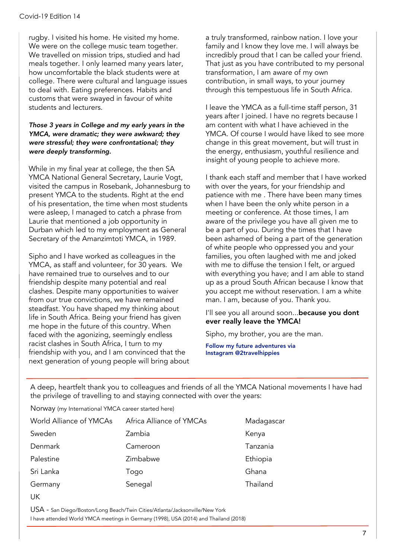rugby. I visited his home. He visited my home. We were on the college music team together. We travelled on mission trips, studied and had meals together. I only learned many years later, how uncomfortable the black students were at college. There were cultural and language issues to deal with. Eating preferences. Habits and customs that were swayed in favour of white students and lecturers.

#### *Those 3 years in College and my early years in the YMCA, were dramatic; they were awkward; they were stressful; they were confrontational; they were deeply transforming.*

While in my final year at college, the then SA YMCA National General Secretary, Laurie Vogt, visited the campus in Rosebank, Johannesburg to present YMCA to the students. Right at the end of his presentation, the time when most students were asleep, I managed to catch a phrase from Laurie that mentioned a job opportunity in Durban which led to my employment as General Secretary of the Amanzimtoti YMCA, in 1989.

Sipho and I have worked as colleagues in the YMCA, as staff and volunteer, for 30 years. We have remained true to ourselves and to our friendship despite many potential and real clashes. Despite many opportunities to waiver from our true convictions, we have remained steadfast. You have shaped my thinking about life in South Africa. Being your friend has given me hope in the future of this country. When faced with the agonizing, seemingly endless racist clashes in South Africa, I turn to my friendship with you, and I am convinced that the next generation of young people will bring about a truly transformed, rainbow nation. I love your family and I know they love me. I will always be incredibly proud that I can be called your friend. That just as you have contributed to my personal transformation, I am aware of my own contribution, in small ways, to your journey through this tempestuous life in South Africa.

I leave the YMCA as a full-time staff person, 31 years after I joined. I have no regrets because I am content with what I have achieved in the YMCA. Of course I would have liked to see more change in this great movement, but will trust in the energy, enthusiasm, youthful resilience and insight of young people to achieve more.

I thank each staff and member that I have worked with over the years, for your friendship and patience with me . There have been many times when I have been the only white person in a meeting or conference. At those times, I am aware of the privilege you have all given me to be a part of you. During the times that I have been ashamed of being a part of the generation of white people who oppressed you and your families, you often laughed with me and joked with me to diffuse the tension I felt, or argued with everything you have; and I am able to stand up as a proud South African because I know that you accept me without reservation. I am a white man. I am, because of you. Thank you.

I'll see you all around soon...because you dont ever really leave the YMCA!

Sipho, my brother, you are the man.

Follow my future adventures via Instagram @2travelhippies

A deep, heartfelt thank you to colleagues and friends of all the YMCA National movements I have had the privilege of travelling to and staying connected with over the years:

Norway (my International YMCA career started here)

| World Alliance of YMCAs       | Africa Alliance of YMCAs | Madagascar |
|-------------------------------|--------------------------|------------|
| Sweden                        | Zambia                   | Kenya      |
| Denmark                       | Cameroon                 | Tanzania   |
| Palestine                     | Zimbabwe                 | Ethiopia   |
| Sri Lanka                     | Togo                     | Ghana      |
| Germany                       | Senegal                  | Thailand   |
| $\overline{1}$ $\overline{1}$ |                          |            |

UK

USA - San Diego/Boston/Long Beach/Twin Cities/Atlanta/Jacksonville/New York

I have attended World YMCA meetings in Germany (1998), USA (2014) and Thailand (2018)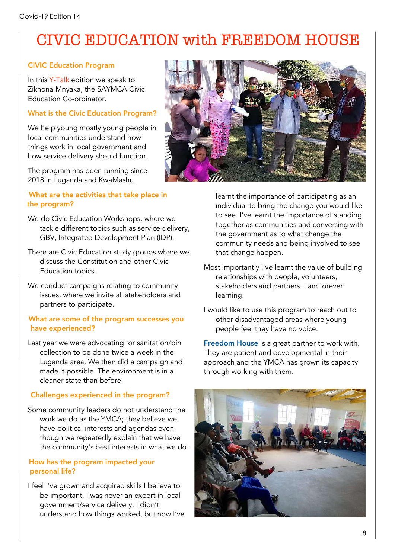## CIVIC EDUCATION with FREEDOM HOUSE

#### CIVIC Education Program

In this Y-Talk edition we speak to Zikhona Mnyaka, the SAYMCA Civic Education Co-ordinator.

#### What is the Civic Education Program?

We help young mostly young people in local communities understand how things work in local government and how service delivery should function.

The program has been running since 2018 in Luganda and KwaMashu.

#### What are the activities that take place in the program?

- We do Civic Education Workshops, where we tackle different topics such as service delivery, GBV, Integrated Development Plan (IDP).
- There are Civic Education study groups where we discuss the Constitution and other Civic Education topics.
- We conduct campaigns relating to community issues, where we invite all stakeholders and partners to participate.

#### What are some of the program successes you have experienced?

Last year we were advocating for sanitation/bin collection to be done twice a week in the Luganda area. We then did a campaign and made it possible. The environment is in a cleaner state than before.

#### Challenges experienced in the program?

Some community leaders do not understand the work we do as the YMCA; they believe we have political interests and agendas even though we repeatedly explain that we have the community's best interests in what we do.

#### How has the program impacted your personal life?

I feel I've grown and acquired skills I believe to be important. I was never an expert in local government/service delivery. I didn't understand how things worked, but now I've



learnt the importance of participating as an individual to bring the change you would like to see. I've learnt the importance of standing together as communities and conversing with the government as to what change the community needs and being involved to see that change happen.

- Most importantly I've learnt the value of building relationships with people, volunteers, stakeholders and partners. I am forever learning.
- I would like to use this program to reach out to other disadvantaged areas where young people feel they have no voice.

Freedom House is a great partner to work with. They are patient and developmental in their approach and the YMCA has grown its capacity through working with them.

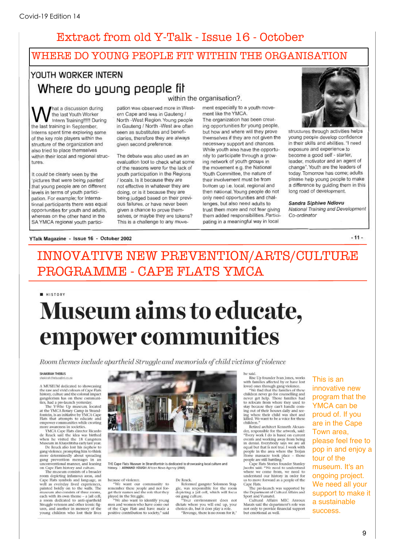### Extract from old Y-Talk - Issue 16 - October

#### WHERE DO YOUNG PEOPLE FIT WITHIN THE ORGANISATION

#### YOUTH WORKER INTERN Where do young people fit within the organisation?.

hat a discussion during the last Youth Worker Intern Training!!!!! During the last training in September, Interns spent time exploring some of the key role players within the structure of the organization and also tried to place themselves within their local and regional structures

It could be clearly seen by the 'pictures that were being painted' that young people are on different levels in terms of youth participation. For example; for International participants there was equal opportunities for youth and adults. whereas on the other hand in the SA YMCA regional youth participation was observed more in Western Cape and less in Gauteng / North - West Region. Young people in Gauteng / North -West are often seen as substitutes and beneficiaries, therefore they are always given second preference.

The debate was also used as an evaluation tool to check what some of the reasons were for the lack of vouth participation in the Regions / locals, Is it because they are not effective in whatever they are doing, or is it because they are being judged based on their previous failures, or have never been given a chance to prove themselves, or maybe they are tokens? This is a challenge to any movement especially to a youth movement like the YMCA

The organization has been creating opportunities for young people, but how and where will they prove themselves if they are not given the necessary support and chances. While youth also have the opportunity to participate through a growing network of youth groups in the movement e.g. the National Youth Committee, the nature of their involvement must be from bottom up i.e. local, regional and then national. Young people do not only need opportunities and challenges, but also need adults to trust them more and not fear giving them added responsibilities. Participating in a meaningful way in local



structures through activities helps young people develop confidence in their skills and abilities. "I need exposure and experience to become a good self - starter. leader, motivator and an agent of change". Youth are the leaders of today. Tomorrow has come; adults please help young people to make a difference by guiding them in this long road of development.

Sandra Siphiwe Ndlovu National Training and Development Co-ordinator

 $.11.$ 

#### YTalk Magazine - Issue 16 - October 2002

### INNOVATIVE NEW PREVENTION/ARTS/CULTURE PROGRAMME - CAPE FLATS YMCA

## $H$  HISTORY **Museum aims to educate,** empower communities

Room themes include apartheid Struggle and memorials of child victims of violence

#### SHAKIRAH THEBUS int.co.z

A MUSEUM dedicated to showcasing

A MUSEUM dedicated to showcasing<br>the raw and vivid colours of Cape Flats<br>history, culture and the colossal impact<br>gangeterism has on these communi-<br>ties, had a pre-launch yesterday.<br>The Y-Wise Up museum, located<br>at the YMC more awareness in societies.

more awareness in societies.<br>
YMCA Cape Flats director Ricardo<br>
de Reuck said the idea was birthed<br>
when he visited the 18 Gangsters<br>
Museum in Khayelitsha early last year.

De Reuck also lost his nephe De Reuck also lost his nephew to<br>gang violence, prompting him to think<br>more determinedly about spreading<br>gang prevention messages in an<br>unconventional manner, and leaning

unconventional manner, and leaning<br>concernential manner, and leading the mass in the mass in the mass of a broader<br>come depicting infamous areas, and competed Cape Blats symbols and language, as<br>well as everyday lived exp ures, and another in memory of the young children who lost their lives



THE Cape Flats Museum in Strandfontein is dedicated to showcasing local culture and history. | ARMAND HOUGH African News Agency (ANA)

> De Reuck.<br>Reformed gangster Solomon Staggie, was responsible for the room<br>depicting a jail cell, which will focus<br>on gang culture.<br>"Your\_environment\_does\_not

> dictate where you will end up, your<br>choices do, but it does play a role.

"Revenge, there is no room for it,"

because of violence.<br>
"We want our community to<br>
remember these people and not for-<br>
get their names and the role that they played in the Struggle.<br>"We also want to identify young

men and women who have come out of the Cape Flats and have made a<br>positive contribution to society," said

he said.<br>Rise Up founder Ivan Jones, works<br>with families affected by or have lost

with families affected by or have lost<br>coved may provide a flow that loved ones through gang violence.<br>"We find that the families of these<br>children never go for counselling and<br>never get help. Those families had<br>to reloca children.

Retired architect Kenneth Alexan-Retired architect Kenneth Alexan-<br>der, responsible for the artwork, said:<br>"Every work I do is based on current<br>events and working away from being<br>in denial. Everybody says we are all<br>equal but that is not true. I work with

roople are still battling,"<br>
Cape Fals Stories founder Stanley<br>
Cape Fals Stories founder Stanley<br>
Jacobs said: "We need to understand<br>
where we come from, we need to<br>
understand our history in order for<br>
us to move forwar

This is an innovative new program that the YMCA can be proud of. If you are in the Cape Town area, please feel free to pop in and enjoy a tour of the museum. It's an ongoing project. We need all your support to make it a sustainable success.